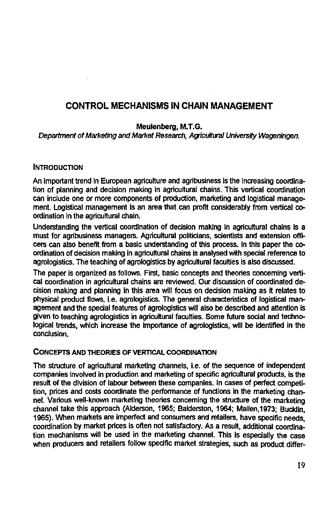# **CONTROL MECHANISMS IN CHAIN MANAGEMENT**

#### **Meulenberg, M.T.G.**

Department of Marketing and Market Research, Agricultural University Wageningen.

#### **INTRODUCTION**

An important trend in European agriculture and agribusiness is the increasing coordination of planning and decision making in agricultural chains. This vertical coordination can include one or more components of production, marketing and logistical management. Logistical management is an area that can profit considerably from vertical coordination in the agricultural chain.

Understanding the vertical coordination of decision making in agricultural chains is a must for agribusiness managers. Agricultural politicians, scientists and extension officers can also benefit from a basic understanding of this process. In this paper the coordination of decision making in agricultural chains is analysed with special reference to agrologistics. The teaching of agrologistics by agricultural faculties is also discussed.

The paper is organized as follows. First, basic concepts and theories concerning vertical coordination in agricultural chains are reviewed. Our discussion of coordinated decision making and planning in this area will focus on decision making as it relates to physical product flows, i.e. agrologistics. The general characteristics of logistical management and the special features of agrologistics will also be described and attention is given to teaching agrologistics in agricultural faculties. Some future social and technological trends, which increase the importance of agrologistics, will be identified in the conclusion.

#### CONCEPTS **AND** THEORIES OF **VERTICAL** COORDINATION

The structure of agricultural marketing channels, i.e. of the sequence of independent companies involved in production and marketing of specific agricultural products, is the result of the division of labour between these companies. In cases of perfect competition, prices and costs coordinate the performance of functions in the marketing channel. Various well-known marketing theories concerning the structure of the marketing channel take this approach (Alderson, 1965; Balderston, 1964; Mallen,1973; Bucklin, 1965). When markets are imperfect and consumers and retailers, have specific needs, coordination by market prices is often not satisfactory. As a result, additional coordination mechanisms will be used in the marketing channel. This is especially the case when producers and retailers follow specific market strategies, such as product differ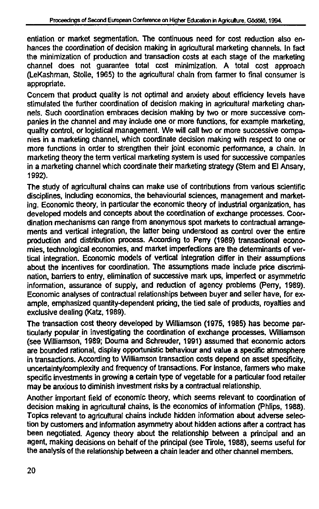entiation or market segmentation. The continuous need for cost reduction also enhances the coordination of decision making in agricultural marketing channels. In fact the minimization of production and transaction costs at each stage of the marketing channel does not guarantee total cost minimization. A total cost approach (LeKashman, Stolle, 1965) to the agricultural chain from farmer to final consumer is appropriate.

Concern that product quality is not optimal and anxiety about efficiency levels have stimulated the further coordination of decision making in agricultural marketing channels. Such coordination embraces decision making by two or more successive companies in the channel and may include one or more functions, for example marketing, quality control, or logistical management. We will call two or more successive companies in a marketing channel, which coordinate decision making with respect to one or more functions in order to strengthen their joint economic performance, a chain. In marketing theory the term vertical marketing system is used for successive companies in a marketing channel which coordinate their marketing strategy (Stem and El Ansary, 1992).

The study of agricultural chains can make use of contributions from various scientific disciplines, including economics, the behaviourial sciences, management and marketing. Economic theory, in particular the economic theory of industrial organization, has developed models and concepts about the coordination of exchange processes. Coordination mechanisms can range from anonymous spot markets to contractual arrangements and vertical integration, the latter being understood as control over the entire production and distribution process. According to Perry (1989) transactional economies, technological economies, and market imperfections are the determinants of vertical integration. Economic models of vertical integration differ in their assumptions about the incentives for coordination. The assumptions made include price discrimination, barriers to entry, elimination of successive mark ups, imperfect or asymmetric information, assurance of supply, and reduction of agency problems (Perry, 1989). Economic analyses of contractual relationships between buyer and seller have, for example, emphasized quantity-dependent pricing, the tied sale of products, royalties and exclusive dealing (Katz, 1989).

The transaction cost theory developed by Williamson (1975, 1985) has become particularly popular in investigating the coordination of exchange processes. Williamson (see Williamson, 1989; Douma and Schreuder, 1991) assumed that economic actors are bounded rational, display opportunistic behaviour and value a specific atmosphere in transactions. According to Williamson transaction costs depend on asset specificity, uncertainty/complexity and frequency of transactions. For instance, fanners who make specific investments in growing a certain type of vegetable for a particular food retailer may be anxious to diminish investment risks by a contractual relationship.

Another important field of economic theory, which seems relevant to coordination of decision making in agricultural chains, is the economics of information (Phlips, 1988). Topics relevant to agricultural chains include hidden information about adverse selection by customers and information asymmetry about hidden actions after a contract has been negotiated. Agency theory about the relationship between a principal and an agent, making decisions on behalf of the principal (see Tirole, 1988), seems useful for the analysis of the relationship between a chain leader and other channel members.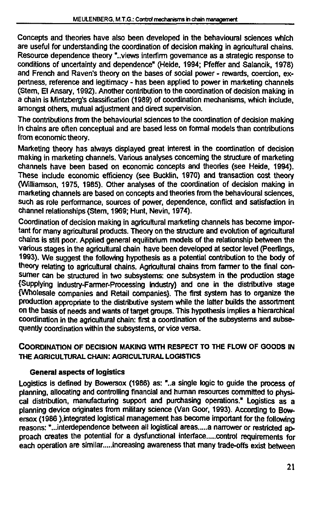Concepts and theories have also been developed in the behavioural sciences which are useful for understanding the coordination of decision making in agricultural chains. Resource dependence theory "..views interfirm governance as a strategic response to conditions of uncertainty and dependence" (Heide, 1994; Pfeffer and Salancik, 1978) and French and Raven's theory on the bases of social power - rewards, coercion, expertness, reference and legitimacy - has been applied to power in marketing channels (Stem, El Ansary, 1992). Another contribution to the coordination of decision making in a chain is Mintzberg's classification (1989) of coordination mechanisms, which include, amongst others, mutual adjustment and direct supervision.

The contributions from the behaviourial sciences to the coordination of decision making in chains are often conceptual and are based less on formal models than contributions from economic theory.

Marketing theory has always displayed great interest in the coordination of decision making in marketing channels. Various analyses concerning the structure of marketing channels have been based on economic concepts and theories (see Heide, 1994). These include economic efficiency (see Bucklin, 1970) and transaction cost theory (Williamson, 1975, 1985). Other analyses of the coordination of decision making in marketing channels are based on concepts and theories from the behavioural sciences, such as role performance, sources of power, dependence, conflict and satisfaction in channel relationships (Stem, 1969; Hunt, Nevin, 1974).

Coordination of decision making in agricultural marketing channels has become important for many agricultural products. Theory on the structure and evolution of agricultural chains is still poor. Applied general equilibrium models of the relationship between the various stages in the agricultural chain have been developed at sector level (Peerlings, 1993). We suggest the following hypothesis as a potential contribution to the body of theory relating to agricultural chains. Agricultural chains from farmer to the final consumer can be structured in two subsystems: one subsystem in the production stage {Supplying industry-Farmer-Processing industry} and one in the distributive stage {Wholesale companies and Retail companies}. The first system has to organize the production appropriate to the distributive system while the latter builds the assortment on the basis of needs and wants of target groups. This hypothesis implies **a** hierarchical coordination in the agricultural chain: first a coordination of the subsystems and subsequently coordination within the subsystems, or vice versa.

### **COORDINATION OF DECISION MAKING WITH RESPECT TO THE FLOW OF GOODS IN THE AGRICULTURAL CHAIN: AGRICULTURAL LOGISTICS**

### **General aspects of logistics**

Logistics is defined by Bowersox (1986) as: "..a single logic to guide the process of planning, allocating and controlling financial and human resources committed to physical distribution, manufacturing support and purchasing operations." Logistics as a planning device originates from military science (Van Goor, 1993). According to Bowersox (1986 ), integrated logistical management has become important for the following reasons: "...interdependence between all logistical areas ..... a narrower or restricted approach creates the potential for a dysfunctional interface.....control requirements for each operation are similar.....increasing awareness that many trade-offs exist between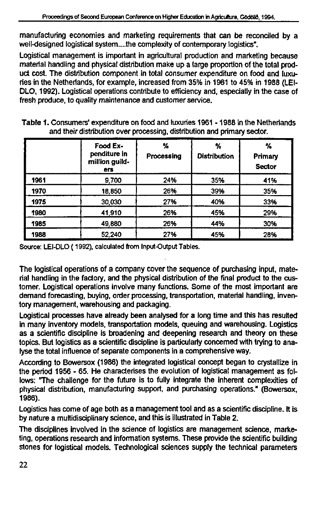manufacturing economies and marketing requirements that can be reconciled by a well-designed logistical system....the complexity of contemporary logistics".

Logistical management is important in agricultural production and marketing because material handling and physical distribution make up a large proportion of the total product cost. The distribution component in total consumer expenditure on food and luxuries in the Netherlands, for example, increased from 35% in 1961 to 45% in 1988 (LEI-DLO, 1992). Logistical operations contribute to efficiency and, especially in the case of fresh produce, to quality maintenance and customer service.

|      | Food Ex-<br>penditure in<br>million guild-<br><b>ers</b> | ℅<br>Processing | %<br><b>Distribution</b> | ℅<br><b>Primary</b><br><b>Sector</b> |
|------|----------------------------------------------------------|-----------------|--------------------------|--------------------------------------|
| 1961 | 9,700                                                    | 24%             | 35%                      | 41%                                  |
| 1970 | 18,850                                                   | 26%             | 39%                      | 35%                                  |
| 1975 | 30,030                                                   | 27%             | 40%                      | 33%                                  |
| 1980 | 41,910                                                   | 26%             | 45%                      | 29%                                  |
| 1985 | 49.880                                                   | 26%             | 44%                      | 30%                                  |
| 1988 | 52.240                                                   | 27%             | 45%                      | 28%                                  |

Table 1. Consumers' expenditure on food and luxuries 1961 -1988 in the Netherlands and their distribution over processing, distribution and primary sector.

Source: LEI-DLO ( 1992), calculated from Input-Output Tables.

The logistical operations of a company cover the sequence of purchasing input, material handling in the factory, and the physical distribution of the final product to the customer. Logistical operations involve many functions. Some of the most important are demand forecasting, buying, order processing, transportation, material handling, inventory management, warehousing and packaging.

Logistical processes have already been analysed for a long time and this has resulted in many inventory models, transportation models, queuing and warehousing. Logistics as a scientific discipline is broadening and deepening research and theory on these topics. But logistics as a scientific discipline is particularly concerned with trying to analyse the total influence of separate components in a comprehensive way.

According to Bowersox (1986) the integrated logistical concept began to crystallize in the period 1956 - 65. He characterises the evolution of logistical management as follows: The challenge for the future is to fully integrate the inherent complexities of physical distribution, manufacturing support, and purchasing operations." (Bowersox, 1986).

Logistics has come of age both as a management tool and as a scientific discipline. It is by nature a multidisciplinary science, and this is illustrated in Table 2.

The disciplines involved in the science of logistics are management science, marketing, operations research and information systems. These provide the scientific building stones for logistical models. Technological sciences supply the technical parameters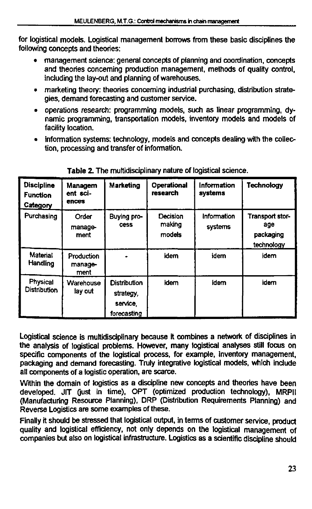for logistical models. Logistical management borrows from these basic disciplines the following concepts and theories:

- management science: general concepts of planning and coordination, concepts and theories concerning production management, methods of quality control, including the lay-out and planning of warehouses.
- marketing theory: theories concerning industrial purchasing, distribution strategies, demand forecasting and customer service.
- operations research: programming models, such as linear programming, dynamic programming, transportation models, inventory models and models of facility location.
- information systems: technology, models and concepts dealing with the collection, processing and transfer of information.

| <b>Discipline</b><br><b>Function</b><br>Category | Managem<br>ent sci-<br>ences  | <b>Marketing</b>                                            | Operational<br>research      | Information<br>systems | <b>Technology</b>                                 |
|--------------------------------------------------|-------------------------------|-------------------------------------------------------------|------------------------------|------------------------|---------------------------------------------------|
| Purchasing                                       | Order<br>manage-<br>ment      | Buying pro-<br><b>Cess</b>                                  | Decision<br>making<br>models | Information<br>systems | Transport stor-<br>age<br>packaging<br>technology |
| Material<br><b>Handling</b>                      | Production<br>manage-<br>ment |                                                             | idem                         | idem                   | idem                                              |
| Physical<br><b>Distribution</b>                  | Warehouse<br>lay out          | <b>Distribution</b><br>strategy,<br>service.<br>forecasting | idem                         | idem                   | idem                                              |

**Table 2.** The multidisciplinary nature of logistical science.

Logistical science is multidisciplinary because it combines **a** network of disciplines in the analysis of logistical problems. However, many logistical analyses still focus on specific components of the logistical process, for example, inventory management, packaging and demand forecasting. Truly integrative logistical models, which include all components of a logistic operation, are scarce.

Within the domain of logistics as a discipline new concepts and theories have been developed. JIT (just in time), OPT (optimized production technology), MRPII (Manufacturing Resource Planning), DRP (Distribution Requirements Planning) and Reverse Logistics are some examples of these.

Finally ft should be stressed that logistical output, in terms of customer service, product quality and logistical efficiency, not only depends on the logistical management of companies but also on logistical infrastructure. Logistics as a scientific discipline should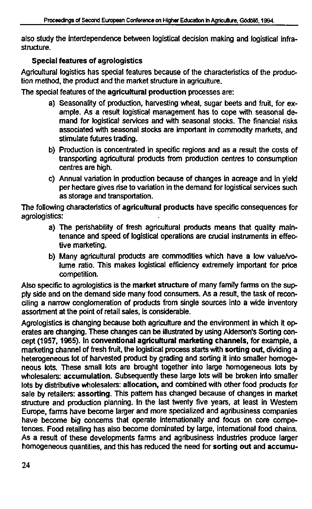also study the interdependence between logistical decision making and logistical infrastructure.

### **Special features of agrologistics**

Agricultural logistics has special features because of the characteristics of the production method, the product and the market structure in agriculture.

The special features of the **agricultural production** processes are:

- a) Seasonality of production, harvesting wheat, sugar beets and fruit, for example. As a result logistical management has to cope with seasonal demand for logistical services and with seasonal stocks. The financial risks associated with seasonal stocks are important in commodity markets, and stimulate futures trading.
- b) Production is concentrated in specific regions and as a result the costs of transporting agricultural products from production centres to consumption centres are high.
- c) Annual variation in production because of changes in acreage and in yield per hectare gives rise to variation in the demand for logistical services such as storage and transportation.

The following characteristics of **agricultural products** have specific consequences for agrologistics:

- a) The perishability of fresh agricultural products means that quality maintenance and speed of logistical operations are crucial instruments in effective marketing.
- b) Many agricultural products are commodities which have **a** low value/volume ratio. This makes logistical efficiency extremely important for price competition.

Also specific to agrologistics is the **market structure** of many family farms on the supply side and on the demand side many food consumers. As a result, the task of reconciling **a** narrow conglomeration of products from single sources into a wide inventory assortment at the point of retail sales, is considerable.

Agrologistics is changing because both agriculture and the environment in which it operates are changing. These changes can be illustrated by using Alderson's Sorting concept (1957,1965). In **conventional agricultural marketing channels,** for example, **a**  marketing channel of fresh fruit, the logistical process starts with **sorting out,** dividing **a**  heterogeneous lot of harvested product by grading and sorting it into smaller homogeneous lots. These small lots are brought together into large homogeneous lots by wholesalers: **accumulation.** Subsequently these large lots will be broken into smaller lots by distributive wholesalers: **allocation,** and combined with other food products for sale by retailers: **assorting.** This pattern has changed because of changes in market structure and production planning. In the last twenty five years, at least in Western Europe, farms have become larger and more specialized and agribusiness companies have become big concerns that operate internationally and focus on core competences. Food retailing has also become dominated by large, international food chains. As **a** result of these developments farms and agribusiness industries produce larger homogeneous quantities, and this has reduced the need for sorting **out** and accumu-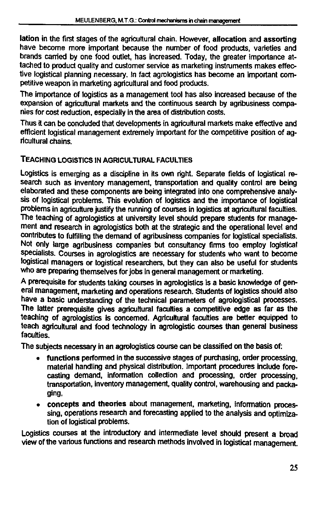**lation** in the first stages of the agricultural chain. However, **allocation** and **assorting**  have become more important because the number of food products, varieties and brands carried by one food outlet, has increased. Today, the greater importance attached to product quality and customer service as marketing instruments makes effective logistical planning necessary. In fact agrologistics has become an important competitive weapon in marketing agricultural and food products.

The importance of logistics as a management tool has also increased because of the expansion of agricultural markets and the continuous search by agribusiness companies for cost reduction, especially in the area of distribution costs.

Thus it can be concluded that developments in agricultural markets make effective and efficient logistical management extremely important for the competitive position of agricultural chains.

# **TEACHING** LOGISTICS **IN AGRICULTURAL FACULTIES**

Logistics is emerging as a discipline in its own right. Separate fields of logistical research such as inventory management, transportation and quality control are being elaborated and these components are being integrated into one comprehensive analysis of logistical problems. This evolution of logistics and the importance of logistical problems in agriculture justify the running of courses in logistics at agricultural faculties. The teaching of agrologistics at university level should prepare students for management and research in agrologistics both at the strategic and the operational level and contributes to fulfilling the demand of agribusiness companies for logistical specialists. Not only large agribusiness companies but consultancy firms too employ logistical specialists. Courses in agrologistics are necessary for students who want to become logistical managers or logistical researchers, but they can also be useful for students who are preparing themselves for jobs in general management or marketing.

A prerequisite for students taking courses in agrologistics is a basic knowledge of general management, marketing and operations research. Students of logistics should also have a basic understanding of the technical parameters of agrologistical processes. The latter prerequisite gives agricultural faculties a competitive edge as far as the teaching of agrologistics is concerned. Agricultural faculties are better equipped to teach agricultural and food technology in agrologistic courses than general business faculties.

The subjects necessary in an agrologistics course can be classified on the basis of:

- • **functions** performed in the successive stages of purchasing, order processing, material handling and physical distribution. Important procedures include forecasting demand, information collection and processing, order processing, transportation, inventory management, quality control, warehousing and packaging,
- • **concepts and theories** about management, marketing, information processing, operations research and forecasting applied to the analysis and optimization of logistical problems.

Logistics courses at the introductory and intermediate level should present a broad view of the various functions and research methods involved in logistical management.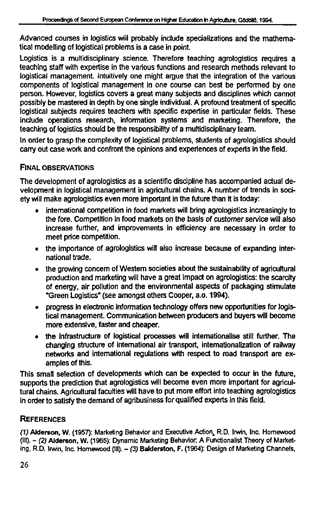Advanced courses in logistics will probably include specializations and the mathematical modelling of logistical problems is a case in point.

Logistics is a multidisciplinary science. Therefore teaching agrologistics requires a teaching staff with expertise in the various functions and research methods relevant to logistical management. Intuitively one might argue that the integration of the various components of logistical management in one course can best be performed by one person. However, logistics covers a great many subjects and disciplines which cannot possibly be mastered in depth by one single individual. A profound treatment of specific logistical subjects requires teachers with specific expertise in particular fields. These include operations research, information systems and marketing. Therefore, the teaching of logistics should be the responsibility of a multidisciplinary team.

In order to grasp the complexity of logistical problems, students of agrologistics should carry out case work and confront the opinions and experiences of experts in the field.

# FINAL OBSERVATIONS

The development of agrologistics as a scientific discipline has accompanied actual development in logistical management in agricultural chains. A number of trends in society will make agrologistics even more important in the future than it is today:

- international competition in food markets will bring agrologistics increasingly to the fore. Competition in food markets on the basis of customer service will also increase further, and improvements in efficiency are necessary in order to meet price competition.
- the importance of agrologistics will also increase because of expanding international trade.
- the growing concern of Western societies about the sustainability of agricultural production and marketing will have a great impact on agrologistics: the scarcity of energy, air pollution and the environmental aspects of packaging stimulate "Green Logistics" (see amongst others Cooper, a.o. 1994).
- progress in electronic information technology offers new opportunities for logistical management. Communication between producers and buyers will become more extensive, faster and cheaper.
- the infrastructure of logistical processes will internationalise still further. The changing structure of international air transport, internationalization of railway networks and international regulations with respect to road transport are examples of this.

This small selection of developments which can be expected to occur in the future, supports the prediction that agrologistics will become even more important for agricultural chains. Agricultural faculties will have to put more effort into teaching agrologistics in order to satisfy the demand of agribusiness for qualified experts in this field.

# **REFERENCES**

(1) Alderson, W. (1957): Marketing Behavior and Executive Action,, R.D. Irwin, Inc. Homewood (III). - (2) Alderson, W. (1965): Dynamic Marketing Behavior A Functionalist Theory of Marketing, R.D. Irwin, Inc. Homewood (III). - (3) Balderston, F. (1964): Design of Marketing Channels,